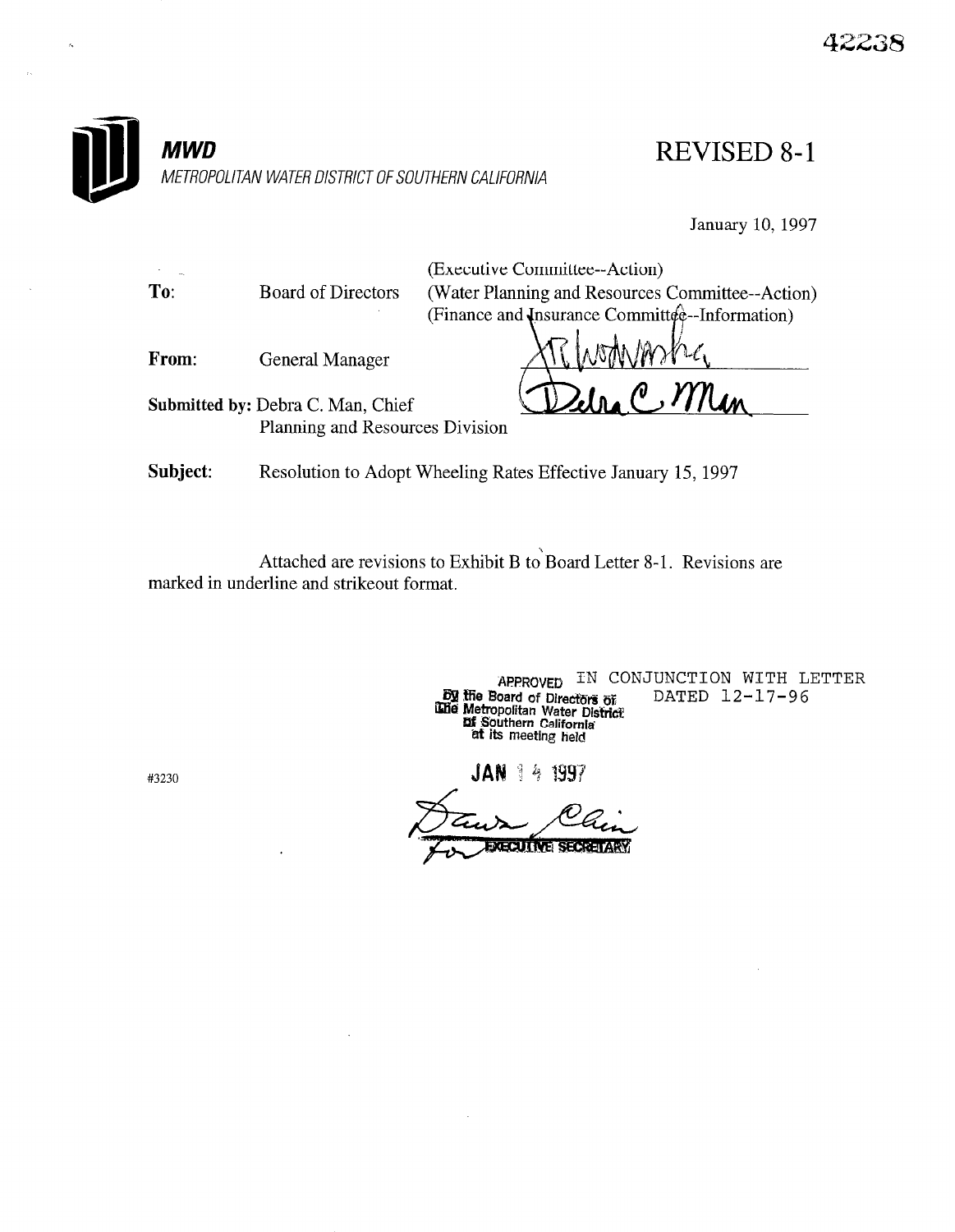

January 10, 1997

|          |                                                               | (Executive Committee--Action)                    |
|----------|---------------------------------------------------------------|--------------------------------------------------|
| To:      | <b>Board of Directors</b>                                     | (Water Planning and Resources Committee--Action) |
|          |                                                               | (Finance and Insurance Committee-Information)    |
| From:    | <b>General Manager</b>                                        | ARTAMANTE                                        |
|          | <b>Submitted by: Debra C. Man, Chief</b>                      | $ln_e$ C, Man                                    |
|          | Planning and Resources Division                               |                                                  |
| Subject: | Resolution to Adopt Wheeling Rates Effective January 15, 1997 |                                                  |

Attached are revisions to Exhibit B to Board Letter 8-1. Revisions are marked in underline and strikeout format.

> APPROVED IN CONJUNCTION WITH LETTER  $t$  Board of Directive  $\mathbb{R}^n$  DATED 12-17 Metropolitan Water Distri  $\sigma$  its meeting field

JAN 1 4 1997

**EXECUTIVE SECRETARY** 

#3230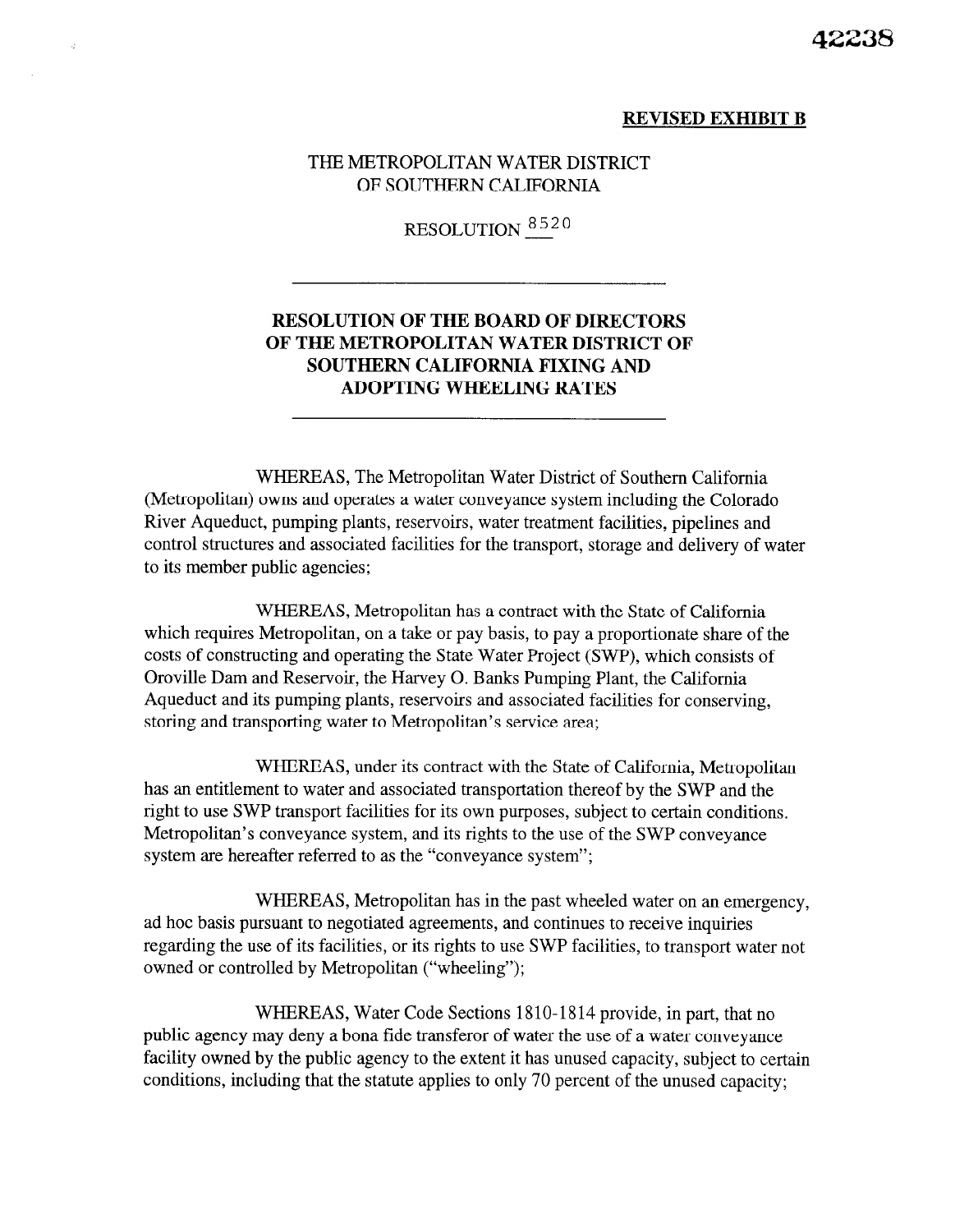#### REVISED EXHIBIT B

### THE METROPOLITAN WATER DISTRICT OF SOUTHERN CALIFORNIA

i.

# RESOLUTION  $8520$

## RESOLUTION OF THE BOARD OF DIRECTORS OF THE METROPOLITAN WATER DISTRICT OF SOUTHERN CALIFORNIA FIXING AND ADOPTING WHEELING RATES

WHEREAS, The Metropolitan Water District of Southern California (Metropolitan) owns and operates a water conveyance system including the Colorado River Aqueduct, pumping plants, reservoirs, water treatment facilities, pipelines and control structures and associated facilities for the transport, storage and delivery of water to its member public agencies;

WHEREAS, Metropolitan has a contract with the State of California which requires Metropolitan, on a take or pay basis, to pay a proportionate share of the costs of constructing and operating the State Water Project (SWP), which consists of Oroville Dam and Reservoir, the Harvey 0. Banks Pumping Plant, the California Aqueduct and its pumping plants, reservoirs and associated facilities for conserving, storing and transporting water to Metropolitan's service area;

WHEREAS, under its contract with the State of California, Metropolitan has an entitlement to water and associated transportation thereof by the SWP and the right to use SWP transport facilities for its own purposes, subject to certain conditions. Metropolitan's conveyance system, and its rights to the use of the SWP conveyance system are hereafter referred to as the "conveyance system";

WHEREAS, Metropolitan has in the past wheeled water on an emergency, ad hoc basis pursuant to negotiated agreements, and continues to receive inquiries regarding the use of its facilities, or its rights to use SWP facilities, to transport water not owned or controlled by Metropolitan ("wheeling");

WHEREAS, Water Code Sections 1810-1814 provide, in part, that no public agency may deny a bona fide transferor of water the use of a water conveyance facility owned by the public agency to the extent it has unused capacity, subject to certain conditions, including that the statute applies to only 70 percent of the unused capacity;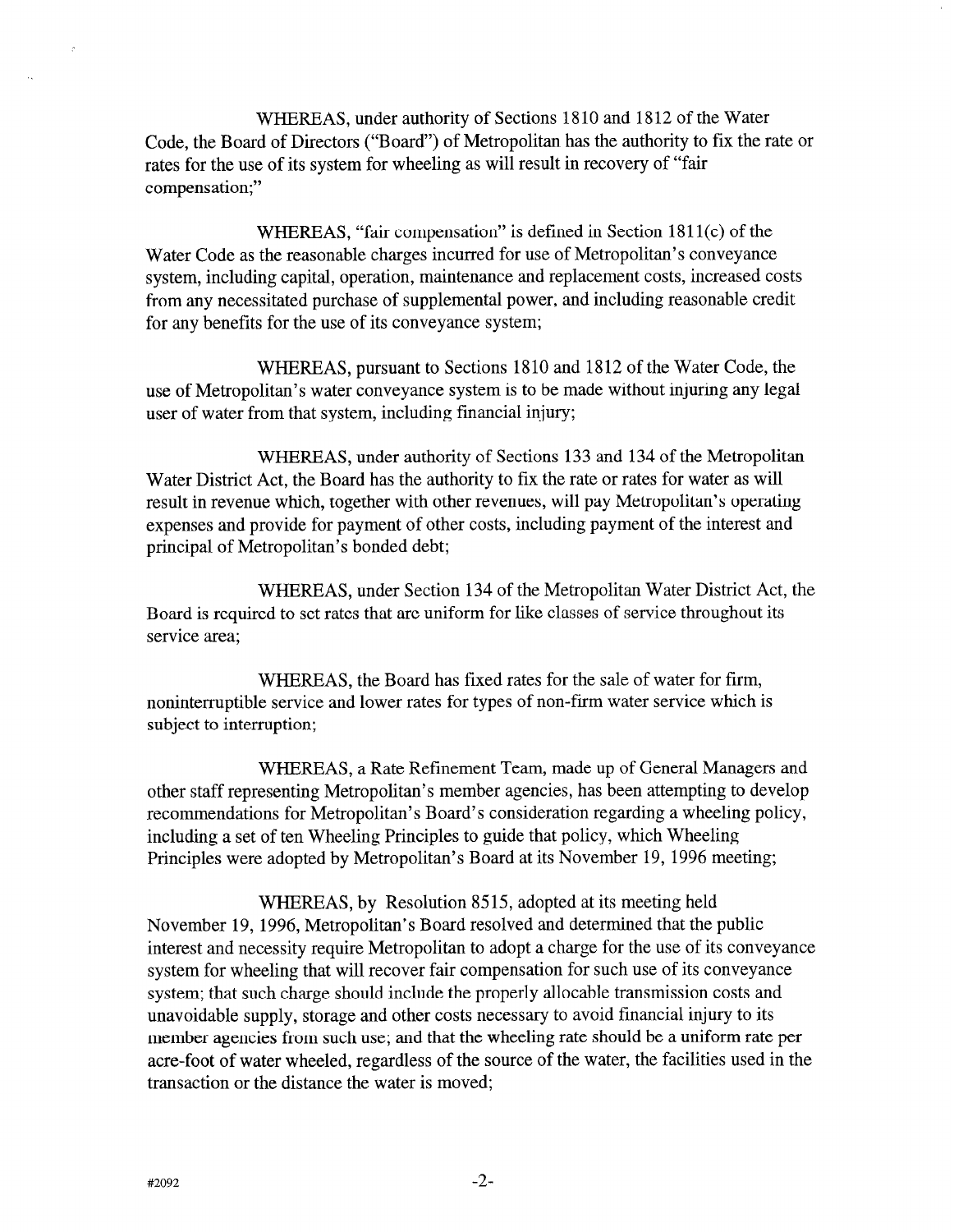WHEREAS, under authority of Sections 1810 and 1812 of the Water Code, the Board of Directors ("Board") of Metropolitan has the authority to fix the rate or rates for the use of its system for wheeling as will result in recovery of "fair compensation;"

WHEREAS, "fair compensation" is defined in Section 1811(c) of the Water Code as the reasonable charges incurred for use of Metropolitan's conveyance system, including capital, operation, maintenance and replacement costs, increased costs from any necessitated purchase of supplemental power, and including reasonable credit for any benefits for the use of its conveyance system;

WHEREAS, pursuant to Sections 1810 and 1812 of the Water Code, the use of Metropolitan's water conveyance system is to be made without injuring any legal user of water from that system, including financial injury;

WHEREAS, under authority of Sections 133 and 134 of the Metropolitan Water District Act, the Board has the authority to fix the rate or rates for water as will result in revenue which, together with other revenues, will pay Metropolitan's operating expenses and provide for payment of other costs, including payment of the interest and principal of Metropolitan's bonded debt;

WHEREAS, under Section 134 of the Metropolitan Water District Act, the Board is required to set rates that are uniform for like classes of service throughout its service area;

WHEREAS, the Board has fixed rates for the sale of water for firm, noninterruptible service and lower rates for types of non-firm water service which is subject to interruption;

WHEREAS, a Rate Refinement Team, made up of General Managers and other staff representing Metropolitan's member agencies, has been attempting to develop recommendations for Metropolitan's Board's consideration regarding a wheeling policy, including a set of ten Wheeling Principles to guide that policy, which Wheeling Principles were adopted by Metropolitan's Board at its November 19, 1996 meeting;

WHEREAS, by Resolution 8515, adopted at its meeting held November 19, 1996, Metropolitan's Board resolved and determined that the public interest and necessity require Metropolitan to adopt a charge for the use of its conveyance system for wheeling that will recover fair compensation for such use of its conveyance system; that such charge should include the properly allocable transmission costs and unavoidable supply, storage and other costs necessary to avoid financial injury to its member agencies from such use; and that the wheeling rate should be a uniform rate per acre-foot of water wheeled, regardless of the source of the water, the facilities used in the transaction or the distance the water is moved;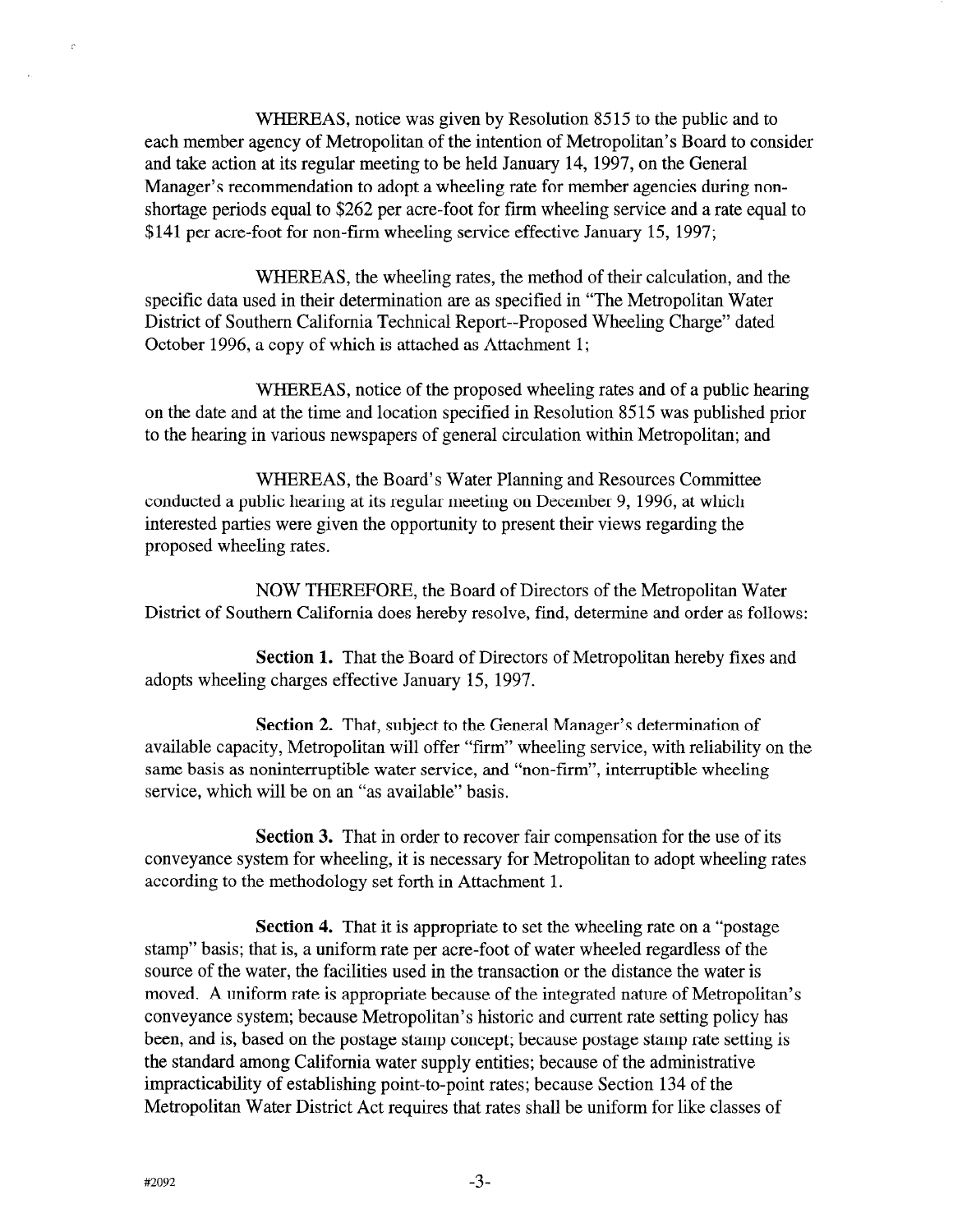WHEREAS, notice was given by Resolution 8515 to the public and to each member agency of Metropolitan of the intention of Metropolitan's Board to consider and take action at its regular meeting to be held January 14, 1997, on the General Manager's recommendation to adopt a wheeling rate for member agencies during nonshortage periods equal to \$262 per acre-foot for firm wheeling service and a rate equal to \$141 per acre-foot for non-firm wheeling service effective January 15, 1997;

WHEREAS, the wheeling rates, the method of their calculation, and the specific data used in their determination are as specified in "The Metropolitan Water District of Southern California Technical Report--Proposed Wheeling Charge" dated October 1996, a copy of which is attached as Attachment 1;

WHEREAS, notice of the proposed wheeling rates and of a public hearing on the date and at the time and location specified in Resolution 8515 was published prior to the hearing in various newspapers of general circulation within Metropolitan; and

WHEREAS, the Board's Water Planning and Resources Committee conducted a public hearing at its regular meeting on December 9, 1996, at which interested parties were given the opportunity to present their views regarding the proposed wheeling rates.

NOW THEREFORE, the Board of Directors of the Metropolitan Water District of Southern California does hereby resolve, find, determine and order as follows:

Section 1. That the Board of Directors of Metropolitan hereby fixes and adopts wheeling charges effective January 15, 1997.

Section 2. That, subject to the General Manager's determination of available capacity, Metropolitan will offer "firm" wheeling service, with reliability on the same basis as noninterruptible water service, and "non-firm", interruptible wheeling service, which will be on an "as available" basis.

Section 3. That in order to recover fair compensation for the use of its conveyance system for wheeling, it is necessary for Metropolitan to adopt wheeling rates according to the methodology set forth in Attachment 1.

Section 4. That it is appropriate to set the wheeling rate on a "postage stamp" basis; that is, a uniform rate per acre-foot of water wheeled regardless of the source of the water, the facilities used in the transaction or the distance the water is moved. A uniform rate is appropriate because of the integrated nature of Metropolitan's conveyance system; because Metropolitan's historic and current rate setting policy has been, and is, based on the postage stamp concept; because postage stamp rate setting is the standard among California water supply entities; because of the administrative impracticability of establishing point-to-point rates; because Section 134 of the Metropolitan Water District Act requires that rates shall be uniform for like classes of

 $\ddot{z}$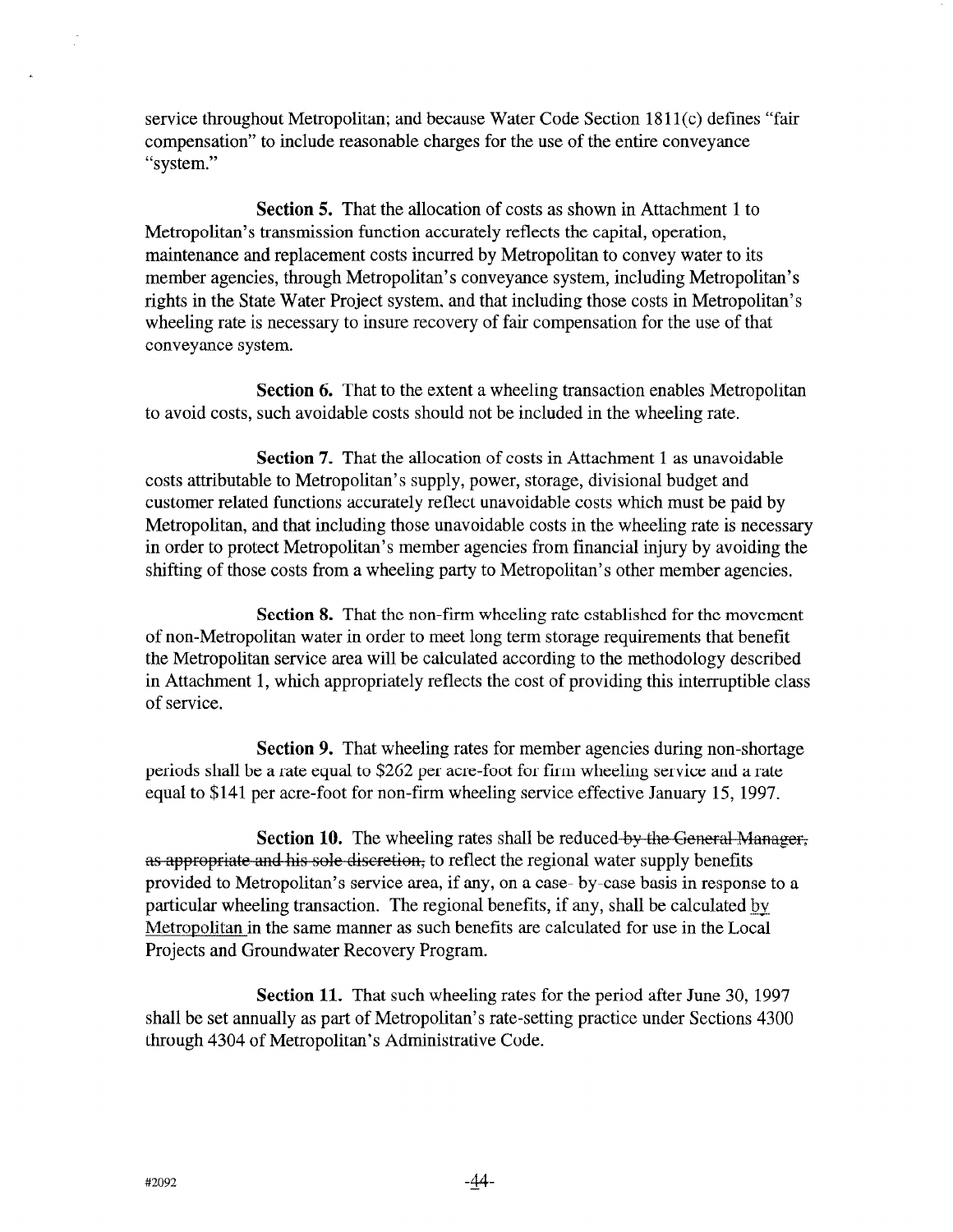service throughout Metropolitan; and because Water Code Section 18 11 (c) defines "fair compensation" to include reasonable charges for the use of the entire conveyance "system."

Section 5. That the allocation of costs as shown in Attachment 1 to Metropolitan's transmission function accurately reflects the capital, operation, maintenance and replacement costs incurred by Metropolitan to convey water to its member agencies, through Metropolitan's conveyance system, including Metropolitan's rights in the State Water Project system, and that including those costs in Metropolitan's wheeling rate is necessary to insure recovery of fair compensation for the use of that conveyance system.

Section 6. That to the extent a wheeling transaction enables Metropolitan to avoid costs, such avoidable costs should not be included in the wheeling rate.

Section 7. That the allocation of costs in Attachment 1 as unavoidable costs attributable to Metropolitan's supply, power, storage, divisional budget and customer related functions accurately reflect unavoidable costs which must be paid by Metropolitan, and that including those unavoidable costs in the wheeling rate is necessary in order to protect Metropolitan's member agencies from financial injury by avoiding the shifting of those costs from a wheeling party to Metropolitan's other member agencies.

Section 8. That the non-firm wheeling rate established for the movement of non-Metropolitan water in order to meet long term storage requirements that benefit the Metropolitan service area will be calculated according to the methodology described in Attachment 1, which appropriately reflects the cost of providing this interruptible class of service.

Section 9. That wheeling rates for member agencies during non-shortage periods shall be a rate equal to \$262 per acre-foot for firm wheeling service and a rate equal to \$141 per acre-foot for non-firm wheeling service effective January 15, 1997.

 $\mathcal{S}_{\text{e}}$  at  $\mathcal{S}_{\text{e}}$  The wheeling rates shall be reduced by the Gauss **Section 10.** The wheeling rates shall be reduced-by-the-General-M<br>as annonciate and his solo discretion, to reflect the regional water supply benefits as appropriate and his sole discretion, to reflect the regional water supply benefits<br>provided to Metropolitan's service area, if any, on a case- by-case basis in response to a particular wheeling transaction. The regional benefits, if any, shall be calculated by. Metropolitan in the same manner as such benefits are calculated for use in the Local Projects and Groundwater Recovery Program.

Section 11. That such wheeling rates for the period after June 30, 1997 shall be set annually as part of Metropolitan's rate-setting practice under Sections 4300 through 4304 of Metropolitan's Administrative Code.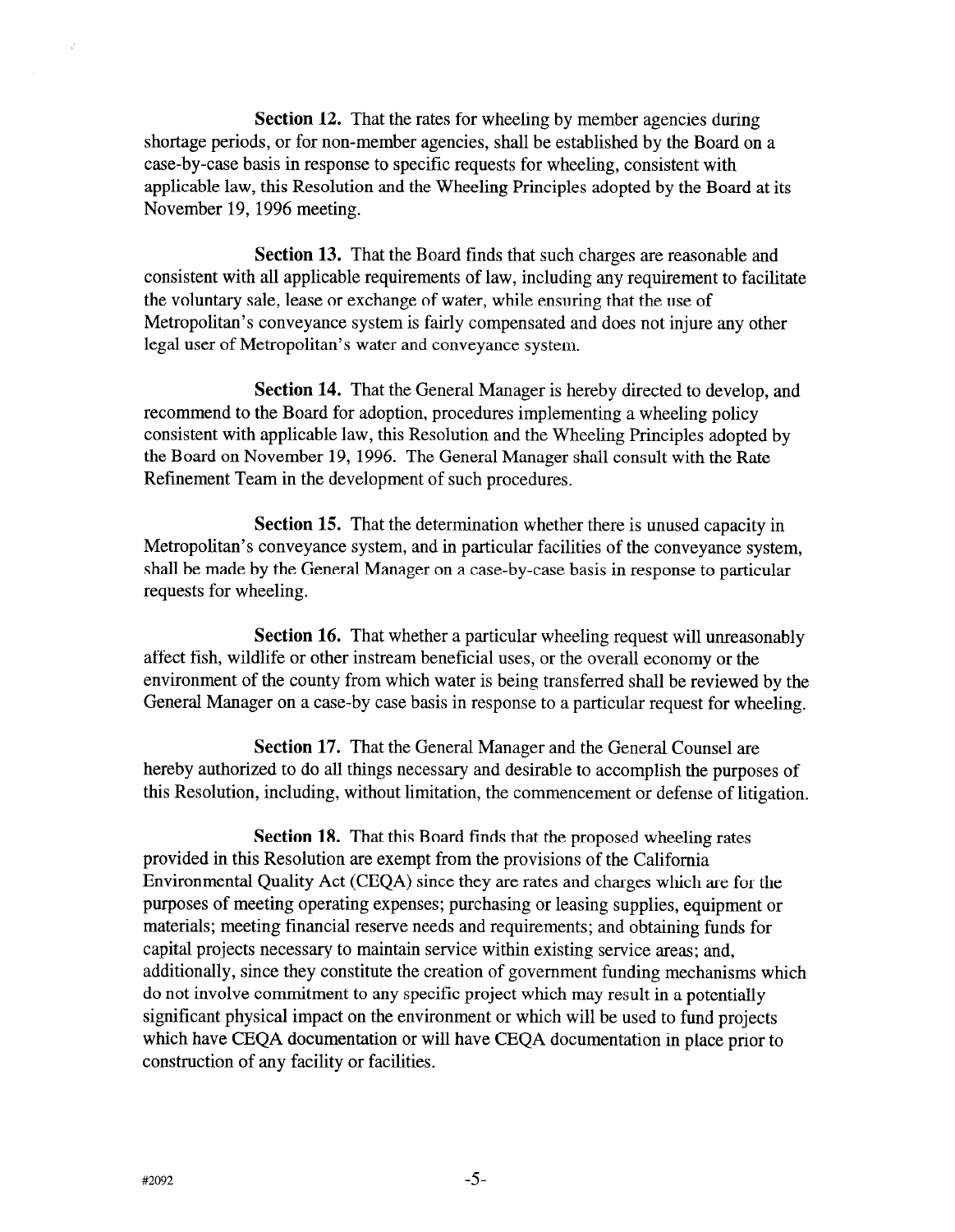Section 12. That the rates for wheeling by member agencies during shortage periods, or for non-member agencies, shall be established by the Board on a case-by-case basis in response to specific requests for wheeling, consistent with applicable law, this Resolution and the Wheeling Principles adopted by the Board at its November 19, 1996 meeting.

Section 13. That the Board finds that such charges are reasonable and consistent with all applicable requirements of law, including any requirement to facilitate the voluntary sale, lease or exchange of water, while ensuring that the use of Metropolitan's conveyance system is fairly compensated and does not injure any other legal user of Metropolitan's water and conveyance system.

Section 14. That the General Manager is hereby directed to develop, and recommend to the Board for adoption, procedures implementing a wheeling policy consistent with applicable law, this Resolution and the Wheeling Principles adopted by the Board on November 19, 1996. The General Manager shall consult with the Rate Refinement Team in the development of such procedures.

Section 15. That the determination whether there is unused capacity in Metropolitan's conveyance system, and in particular facilities of the conveyance system, shall be made by the General Manager on a case-by-case basis in response to particular requests for wheeling.

Section 16. That whether a particular wheeling request will unreasonably affect fish, wildlife or other instream beneficial uses, or the overall economy or the environment of the county from which water is being transferred shall be reviewed by the General Manager on a case-by case basis in response to a particular request for wheeling.

Section 17. That the General Manager and the General Counsel are hereby authorized to do all things necessary and desirable to accomplish the purposes of this Resolution, including, without limitation, the commencement or defense of litigation.

Section 18. That this Board finds that the proposed wheeling rates provided in this Resolution are exempt from the provisions of the California Environmental Quality Act (CEQA) since they are rates and charges which are for the purposes of meeting operating expenses; purchasing or leasing supplies, equipment or materials; meeting financial reserve needs and requirements; and obtaining funds for capital projects necessary to maintain service within existing service areas; and, additionally, since they constitute the creation of government funding mechanisms which do not involve commitment to any specific project which may result in a potentially significant physical impact on the environment or which will be used to fund projects which have CEQA documentation or will have CEQA documentation in place prior to construction of any facility or facilities.